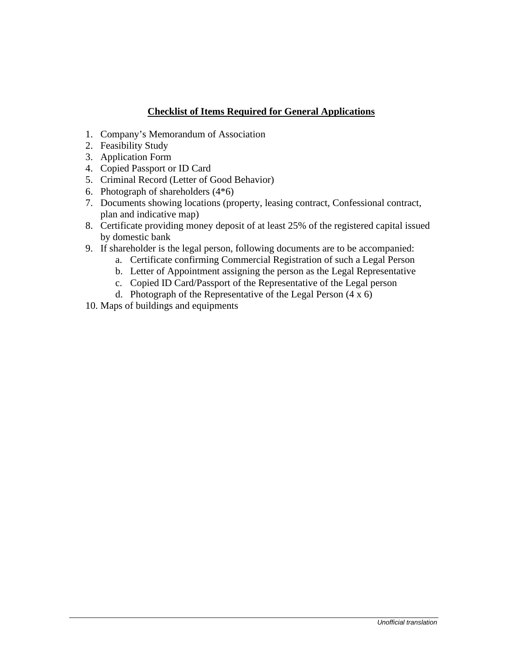## **Checklist of Items Required for General Applications**

- 1. Company's Memorandum of Association
- 2. Feasibility Study
- 3. Application Form
- 4. Copied Passport or ID Card
- 5. Criminal Record (Letter of Good Behavior)
- 6. Photograph of shareholders (4\*6)
- 7. Documents showing locations (property, leasing contract, Confessional contract, plan and indicative map)
- 8. Certificate providing money deposit of at least 25% of the registered capital issued by domestic bank
- 9. If shareholder is the legal person, following documents are to be accompanied:
	- a. Certificate confirming Commercial Registration of such a Legal Person
	- b. Letter of Appointment assigning the person as the Legal Representative
	- c. Copied ID Card/Passport of the Representative of the Legal person
	- d. Photograph of the Representative of the Legal Person  $(4 \times 6)$
- 10. Maps of buildings and equipments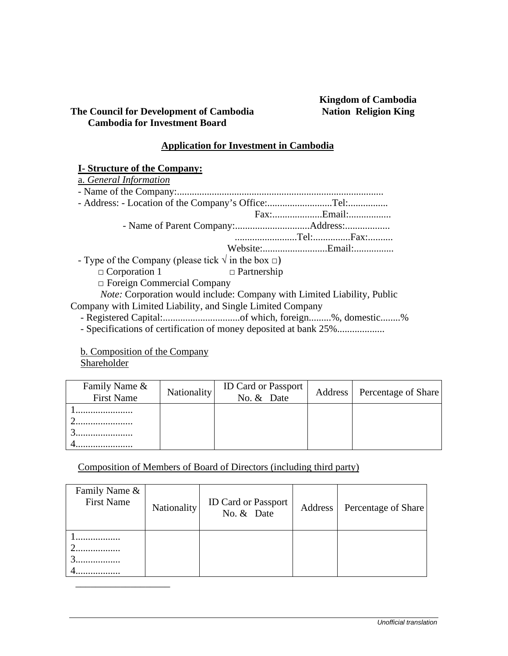# **Kingdom of Cambodia**

## **The Council for Development of Cambodia Cambodia for Investment Board**

### **Application for Investment in Cambodia**

## **I- Structure of the Company:**

| a. General Information                                                         |                    |  |  |
|--------------------------------------------------------------------------------|--------------------|--|--|
|                                                                                |                    |  |  |
|                                                                                |                    |  |  |
|                                                                                |                    |  |  |
|                                                                                |                    |  |  |
|                                                                                |                    |  |  |
|                                                                                | Website:Email:     |  |  |
| - Type of the Company (please tick $\sqrt{ }$ in the box $\Box$ )              |                    |  |  |
| $\Box$ Corporation 1                                                           | $\Box$ Partnership |  |  |
| $\Box$ Foreign Commercial Company                                              |                    |  |  |
| <i>Note:</i> Corporation would include: Company with Limited Liability, Public |                    |  |  |
| Company with Limited Liability, and Single Limited Company                     |                    |  |  |
|                                                                                |                    |  |  |
| <u>i a maia a sistema a m</u>                                                  |                    |  |  |

- Specifications of certification of money deposited at bank 25%...................

 b. Composition of the Company **Shareholder** 

| Family Name &<br><b>First Name</b> | Nationality | <b>ID Card or Passport</b><br>No. & Date | Address   Percentage of Share |
|------------------------------------|-------------|------------------------------------------|-------------------------------|
|                                    |             |                                          |                               |

Composition of Members of Board of Directors (including third party)

| Family Name &<br><b>First Name</b> | Nationality | ID Card or Passport<br>No. & Date | Address <sup>1</sup> | Percentage of Share |
|------------------------------------|-------------|-----------------------------------|----------------------|---------------------|
|                                    |             |                                   |                      |                     |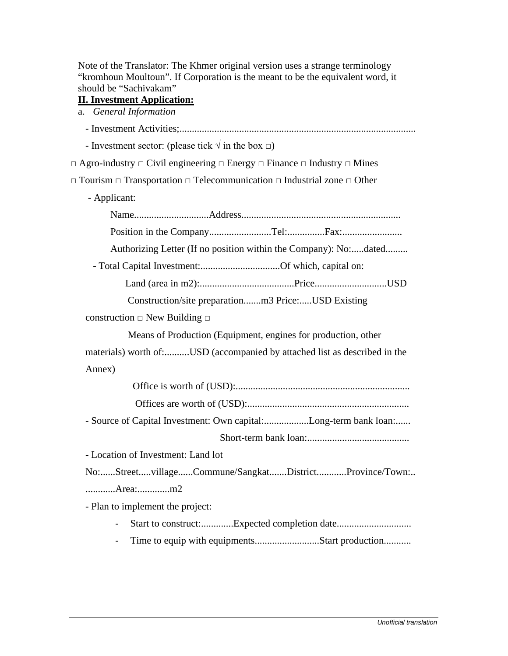Note of the Translator: The Khmer original version uses a strange terminology "kromhoun Moultoun". If Corporation is the meant to be the equivalent word, it should be "Sachivakam"

## **II. Investment Application:**

a. *General Information*

| - Investment sector: (please tick $\sqrt{ }$ in the box $\Box$ )                                        |
|---------------------------------------------------------------------------------------------------------|
| $\Box$ Agro-industry $\Box$ Civil engineering $\Box$ Energy $\Box$ Finance $\Box$ Industry $\Box$ Mines |
| $\Box$ Tourism $\Box$ Transportation $\Box$ Telecommunication $\Box$ Industrial zone $\Box$ Other       |
| - Applicant:                                                                                            |
|                                                                                                         |
|                                                                                                         |
| Authorizing Letter (If no position within the Company): No:dated                                        |
| - Total Capital Investment:Of which, capital on:                                                        |
|                                                                                                         |
| Construction/site preparationm3 Price:USD Existing                                                      |
| construction $\Box$ New Building $\Box$                                                                 |
| Means of Production (Equipment, engines for production, other                                           |
| materials) worth of:USD (accompanied by attached list as described in the                               |
| Annex)                                                                                                  |
|                                                                                                         |
|                                                                                                         |
| - Source of Capital Investment: Own capital:Long-term bank loan:                                        |
|                                                                                                         |
| - Location of Investment: Land lot                                                                      |
| No:StreetvillageCommune/SangkatDistrictProvince/Town:                                                   |
| Area:m2                                                                                                 |
| - Plan to implement the project:                                                                        |
|                                                                                                         |
| Time to equip with equipmentsStart production                                                           |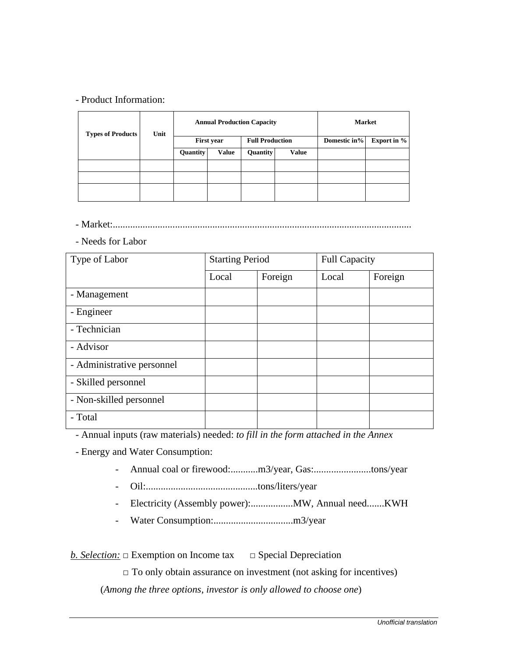#### - Product Information:

| <b>Types of Products</b> | Unit | <b>Annual Production Capacity</b> |              |                        | <b>Market</b> |              |                    |
|--------------------------|------|-----------------------------------|--------------|------------------------|---------------|--------------|--------------------|
|                          |      | <b>First year</b>                 |              | <b>Full Production</b> |               | Domestic in% | <b>Export in %</b> |
|                          |      | Quantity                          | <b>Value</b> | <b>Quantity</b>        | <b>Value</b>  |              |                    |
|                          |      |                                   |              |                        |               |              |                    |
|                          |      |                                   |              |                        |               |              |                    |
|                          |      |                                   |              |                        |               |              |                    |

- Market:........................................................................................................................

- Needs for Labor

| Type of Labor              | <b>Starting Period</b> |         | <b>Full Capacity</b> |         |  |
|----------------------------|------------------------|---------|----------------------|---------|--|
|                            | Local                  | Foreign | Local                | Foreign |  |
| - Management               |                        |         |                      |         |  |
| - Engineer                 |                        |         |                      |         |  |
| - Technician               |                        |         |                      |         |  |
| - Advisor                  |                        |         |                      |         |  |
| - Administrative personnel |                        |         |                      |         |  |
| - Skilled personnel        |                        |         |                      |         |  |
| - Non-skilled personnel    |                        |         |                      |         |  |
| - Total                    |                        |         |                      |         |  |

- Annual inputs (raw materials) needed: *to fill in the form attached in the Annex*

- Energy and Water Consumption:

- Annual coal or firewood:...........m3/year, Gas:.......................tons/year
- Oil:.............................................tons/liters/year
- Electricity (Assembly power):.................MW, Annual need.......KWH
- Water Consumption:................................m3/year

*b. Selection:* □ Exemption on Income tax □ Special Depreciation

 $\Box$  To only obtain assurance on investment (not asking for incentives)

(*Among the three options, investor is only allowed to choose one*)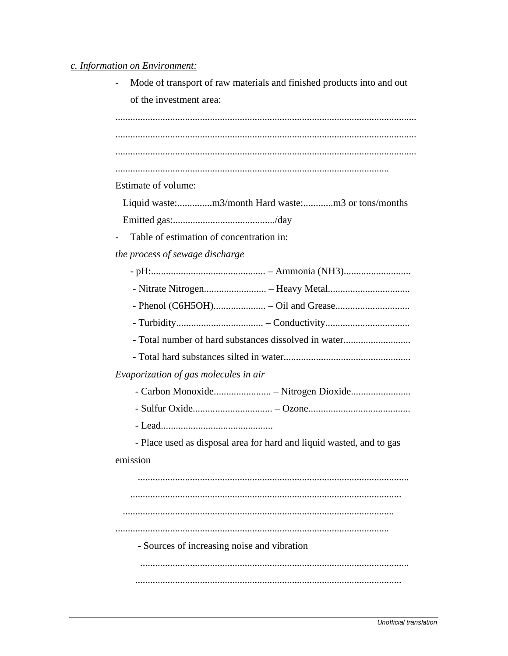#### c. Information on Environment:

Mode of transport of raw materials and finished products into and out  $\overline{a}$ of the investment area:

Estimate of volume:

Liquid waste:................m3/month Hard waste:.............m3 or tons/months 

Table of estimation of concentration in:  $\overline{a}$ 

the process of sewage discharge

| - Total number of hard substances dissolved in water                 |  |
|----------------------------------------------------------------------|--|
|                                                                      |  |
| Evaporization of gas molecules in air                                |  |
|                                                                      |  |
|                                                                      |  |
|                                                                      |  |
| - Place used as disposal area for hard and liquid wasted, and to gas |  |
| emission                                                             |  |
|                                                                      |  |
|                                                                      |  |
|                                                                      |  |
|                                                                      |  |
| - Sources of increasing noise and vibration                          |  |
|                                                                      |  |
|                                                                      |  |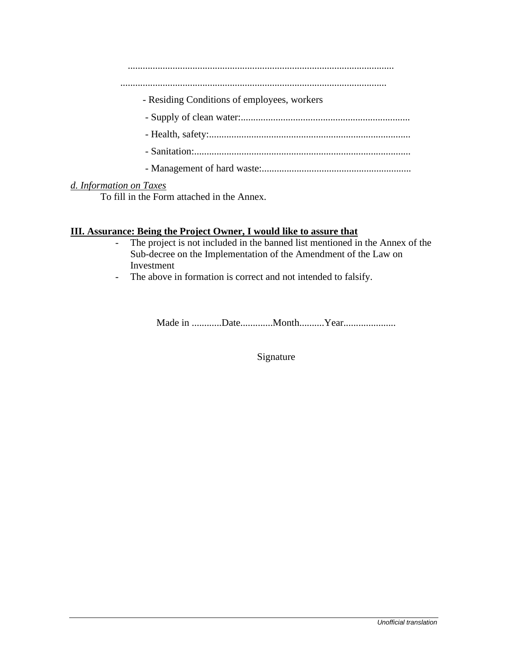...........................................................................................................

...........................................................................................................

- Residing Conditions of employees, workers
- Supply of clean water:....................................................................
- Health, safety:.................................................................................
- Sanitation:.......................................................................................
- Management of hard waste:............................................................

#### *d. Information on Taxes*

To fill in the Form attached in the Annex.

#### **III. Assurance: Being the Project Owner, I would like to assure that**

- The project is not included in the banned list mentioned in the Annex of the Sub-decree on the Implementation of the Amendment of the Law on Investment
- The above in formation is correct and not intended to falsify.

Made in ............Date.............Month..........Year.....................

Signature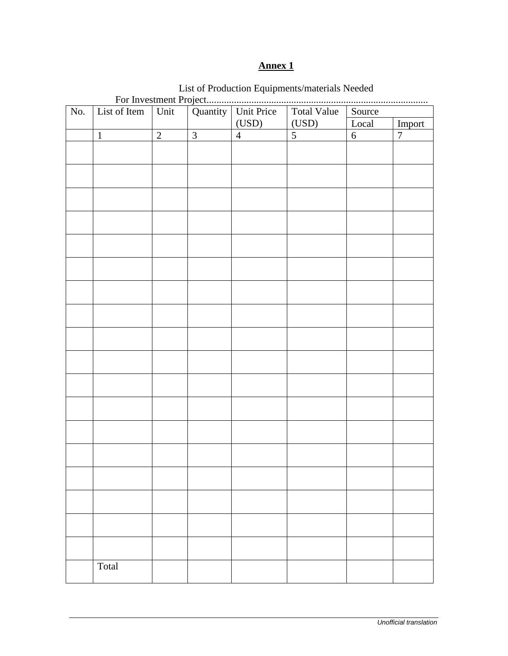## **Annex 1**

| No. | List of Item |                |                | Quantity   Unit Price |                | Source           |                |  |  |
|-----|--------------|----------------|----------------|-----------------------|----------------|------------------|----------------|--|--|
|     |              |                |                | (USD)                 | (USD)          | Local            | Import         |  |  |
|     | $\mathbf{1}$ | $\overline{2}$ | $\overline{3}$ | $\overline{4}$        | $\overline{5}$ | $\boldsymbol{6}$ | $\overline{7}$ |  |  |
|     |              |                |                |                       |                |                  |                |  |  |
|     |              |                |                |                       |                |                  |                |  |  |
|     |              |                |                |                       |                |                  |                |  |  |
|     |              |                |                |                       |                |                  |                |  |  |
|     |              |                |                |                       |                |                  |                |  |  |
|     |              |                |                |                       |                |                  |                |  |  |
|     |              |                |                |                       |                |                  |                |  |  |
|     |              |                |                |                       |                |                  |                |  |  |
|     |              |                |                |                       |                |                  |                |  |  |
|     |              |                |                |                       |                |                  |                |  |  |
|     |              |                |                |                       |                |                  |                |  |  |
|     |              |                |                |                       |                |                  |                |  |  |
|     |              |                |                |                       |                |                  |                |  |  |
|     |              |                |                |                       |                |                  |                |  |  |
|     |              |                |                |                       |                |                  |                |  |  |
|     |              |                |                |                       |                |                  |                |  |  |
|     |              |                |                |                       |                |                  |                |  |  |
|     |              |                |                |                       |                |                  |                |  |  |
|     |              |                |                |                       |                |                  |                |  |  |
|     |              |                |                |                       |                |                  |                |  |  |
|     |              |                |                |                       |                |                  |                |  |  |
|     |              |                |                |                       |                |                  |                |  |  |
|     |              |                |                |                       |                |                  |                |  |  |
|     |              |                |                |                       |                |                  |                |  |  |
|     |              |                |                |                       |                |                  |                |  |  |
|     |              |                |                |                       |                |                  |                |  |  |
|     |              |                |                |                       |                |                  |                |  |  |
|     |              |                |                |                       |                |                  |                |  |  |
|     |              |                |                |                       |                |                  |                |  |  |
|     |              |                |                |                       |                |                  |                |  |  |
|     |              |                |                |                       |                |                  |                |  |  |
|     |              |                |                |                       |                |                  |                |  |  |
|     |              |                |                |                       |                |                  |                |  |  |
|     |              |                |                |                       |                |                  |                |  |  |
|     |              |                |                |                       |                |                  |                |  |  |
|     |              |                |                |                       |                |                  |                |  |  |
|     |              |                |                |                       |                |                  |                |  |  |
|     |              |                |                |                       |                |                  |                |  |  |
|     | Total        |                |                |                       |                |                  |                |  |  |
|     |              |                |                |                       |                |                  |                |  |  |

List of Production Equipments/materials Needed